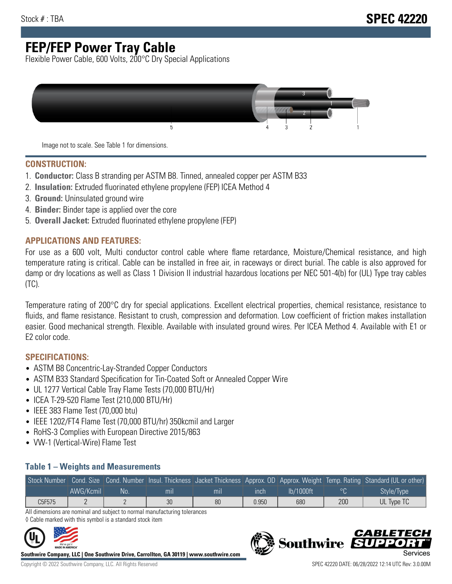# **FEP/FEP Power Tray Cable**

Flexible Power Cable, 600 Volts, 200°C Dry Special Applications



Image not to scale. See Table 1 for dimensions.

#### **CONSTRUCTION:**

- 1. **Conductor:** Class B stranding per ASTM B8. Tinned, annealed copper per ASTM B33
- 2. **Insulation:** Extruded fluorinated ethylene propylene (FEP) ICEA Method 4
- 3. **Ground:** Uninsulated ground wire
- 4. **Binder:** Binder tape is applied over the core
- 5. **Overall Jacket:** Extruded fluorinated ethylene propylene (FEP)

### **APPLICATIONS AND FEATURES:**

For use as a 600 volt, Multi conductor control cable where flame retardance, Moisture/Chemical resistance, and high temperature rating is critical. Cable can be installed in free air, in raceways or direct burial. The cable is also approved for damp or dry locations as well as Class 1 Division II industrial hazardous locations per NEC 501-4(b) for (UL) Type tray cables (TC).

Temperature rating of 200°C dry for special applications. Excellent electrical properties, chemical resistance, resistance to fluids, and flame resistance. Resistant to crush, compression and deformation. Low coefficient of friction makes installation easier. Good mechanical strength. Flexible. Available with insulated ground wires. Per ICEA Method 4. Available with E1 or E2 color code.

### **SPECIFICATIONS:**

- ASTM B8 Concentric-Lay-Stranded Copper Conductors
- ASTM B33 Standard Specification for Tin-Coated Soft or Annealed Copper Wire
- UL 1277 Vertical Cable Tray Flame Tests (70,000 BTU/Hr)
- ICEA T-29-520 Flame Test (210,000 BTU/Hr)
- IEEE 383 Flame Test (70,000 btu)
- IEEE 1202/FT4 Flame Test (70,000 BTU/hr) 350kcmil and Larger
- RoHS-3 Complies with European Directive 2015/863
- VW-1 (Vertical-Wire) Flame Test

#### **Table 1 – Weights and Measurements**

|        |           |      |     |     |       |           |     | Stock Number Cond. Size Cond. Number Insul. Thickness Jacket Thickness Approx. OD Approx. Weight Temp. Rating Standard (UL or other) |
|--------|-----------|------|-----|-----|-------|-----------|-----|--------------------------------------------------------------------------------------------------------------------------------------|
|        | AWG/Kcmil | .No: | mıl | mil | ınch  | lb/1000ft |     | Style/Type                                                                                                                           |
| C5F575 |           |      | 30  | 80  | 0.950 | 680       | 200 | UL Type TC                                                                                                                           |

All dimensions are nominal and subject to normal manufacturing tolerances ◊ Cable marked with this symbol is a standard stock item



**Southwire Company, LLC | One Southwire Drive, Carrollton, GA 30119 | www.southwire.com**